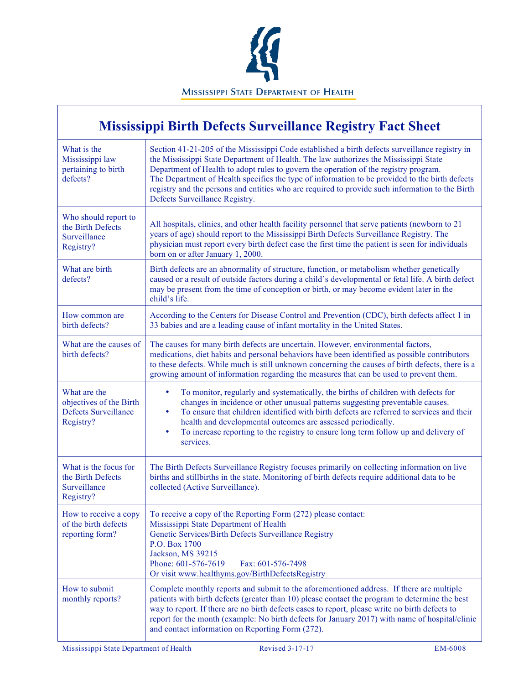

#### **Mississippi Birth Defects Surveillance Registry Fact Sheet** What is the Mississippi law pertaining to birth defects? Section 41-21-205 of the Mississippi Code established a birth defects surveillance registry in the Mississippi State Department of Health. The law authorizes the Mississippi State Department of Health to adopt rules to govern the operation of the registry program. The Department of Health specifies the type of information to be provided to the birth defects registry and the persons and entities who are required to provide such information to the Birth Defects Surveillance Registry. Who should report to the Birth Defects Surveillance Registry? All hospitals, clinics, and other health facility personnel that serve patients (newborn to 21 years of age) should report to the Mississippi Birth Defects Surveillance Registry. The physician must report every birth defect case the first time the patient is seen for individuals born on or after January 1, 2000. What are birth defects? Birth defects are an abnormality of structure, function, or metabolism whether genetically caused or a result of outside factors during a child's developmental or fetal life. A birth defect may be present from the time of conception or birth, or may become evident later in the child's life. How common are birth defects? According to the Centers for Disease Control and Prevention (CDC), birth defects affect 1 in 33 babies and are a leading cause of infant mortality in the United States. What are the causes of birth defects? The causes for many birth defects are uncertain. However, environmental factors, medications, diet habits and personal behaviors have been identified as possible contributors to these defects. While much is still unknown concerning the causes of birth defects, there is a growing amount of information regarding the measures that can be used to prevent them. What are the objectives of the Birth Defects Surveillance Registry? • To monitor, regularly and systematically, the births of children with defects for changes in incidence or other unusual patterns suggesting preventable causes. • To ensure that children identified with birth defects are referred to services and their health and developmental outcomes are assessed periodically. • To increase reporting to the registry to ensure long term follow up and delivery of services. What is the focus for the Birth Defects Surveillance Registry? The Birth Defects Surveillance Registry focuses primarily on collecting information on live births and stillbirths in the state. Monitoring of birth defects require additional data to be collected (Active Surveillance). How to receive a copy of the birth defects reporting form? To receive a copy of the Reporting Form (272) please contact: Mississippi State Department of Health Genetic Services/Birth Defects Surveillance Registry P.O. Box 1700 Jackson, MS 39215 Phone: 601-576-7619 Fax: 601-576-7498 Or visit www.healthyms.gov/BirthDefectsRegistry How to submit monthly reports? Complete monthly reports and submit to the aforementioned address. If there are multiple patients with birth defects (greater than 10) please contact the program to determine the best way to report. If there are no birth defects cases to report, please write no birth defects to report for the month (example: No birth defects for January 2017) with name of hospital/clinic and contact information on Reporting Form (272).